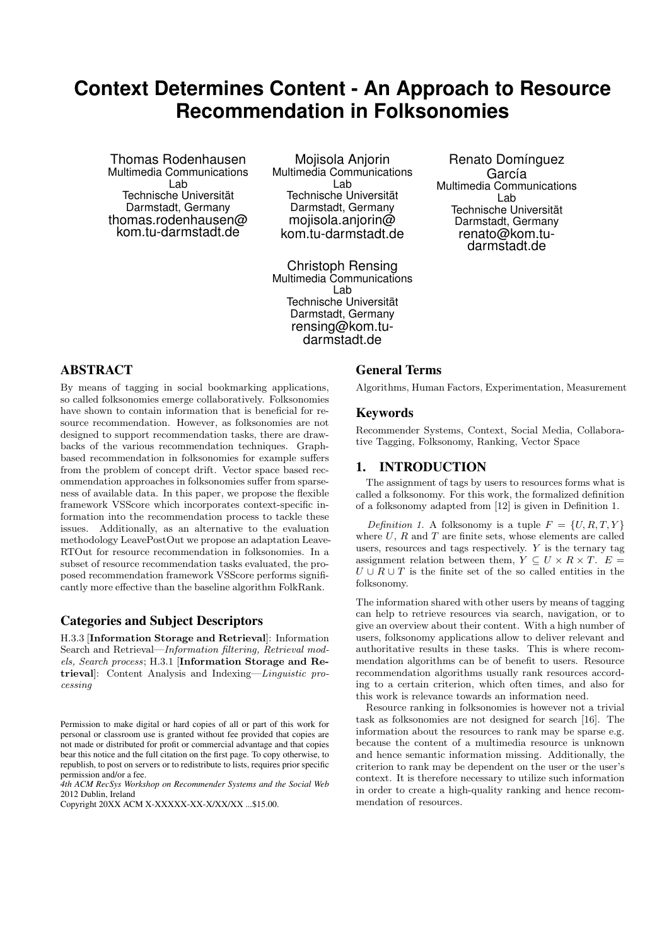# **Context Determines Content - An Approach to Resource Recommendation in Folksonomies**

Thomas Rodenhausen Multimedia Communications Lab Technische Universität Darmstadt, Germany thomas.rodenhausen@ kom.tu-darmstadt.de

Mojisola Anjorin Multimedia Communications Lab Technische Universität Darmstadt, Germany mojisola.anjorin@ kom.tu-darmstadt.de

Christoph Rensing Multimedia Communications Lab Technische Universität Darmstadt, Germany rensing@kom.tudarmstadt.de

ABSTRACT

By means of tagging in social bookmarking applications, so called folksonomies emerge collaboratively. Folksonomies have shown to contain information that is beneficial for resource recommendation. However, as folksonomies are not designed to support recommendation tasks, there are drawbacks of the various recommendation techniques. Graphbased recommendation in folksonomies for example suffers from the problem of concept drift. Vector space based recommendation approaches in folksonomies suffer from sparseness of available data. In this paper, we propose the flexible framework VSScore which incorporates context-specific information into the recommendation process to tackle these issues. Additionally, as an alternative to the evaluation methodology LeavePostOut we propose an adaptation Leave-RTOut for resource recommendation in folksonomies. In a subset of resource recommendation tasks evaluated, the proposed recommendation framework VSScore performs significantly more effective than the baseline algorithm FolkRank.

# Categories and Subject Descriptors

H.3.3 [Information Storage and Retrieval]: Information Search and Retrieval—Information filtering, Retrieval models, Search process; H.3.1 [Information Storage and Retrieval]: Content Analysis and Indexing—Linguistic processing

Copyright 20XX ACM X-XXXXX-XX-X/XX/XX ...\$15.00.

# General Terms

Algorithms, Human Factors, Experimentation, Measurement

Renato Domínguez García Multimedia Communications Lab Technische Universität Darmstadt, Germany renato@kom.tudarmstadt.de

# Keywords

Recommender Systems, Context, Social Media, Collaborative Tagging, Folksonomy, Ranking, Vector Space

## 1. INTRODUCTION

The assignment of tags by users to resources forms what is called a folksonomy. For this work, the formalized definition of a folksonomy adapted from [12] is given in Definition 1.

Definition 1. A folksonomy is a tuple  $F = \{U, R, T, Y\}$ where  $U$ ,  $R$  and  $T$  are finite sets, whose elements are called users, resources and tags respectively. Y is the ternary tag assignment relation between them,  $Y \subseteq U \times R \times T$ .  $E =$  $U \cup R \cup T$  is the finite set of the so called entities in the folksonomy.

The information shared with other users by means of tagging can help to retrieve resources via search, navigation, or to give an overview about their content. With a high number of users, folksonomy applications allow to deliver relevant and authoritative results in these tasks. This is where recommendation algorithms can be of benefit to users. Resource recommendation algorithms usually rank resources according to a certain criterion, which often times, and also for this work is relevance towards an information need.

Resource ranking in folksonomies is however not a trivial task as folksonomies are not designed for search [16]. The information about the resources to rank may be sparse e.g. because the content of a multimedia resource is unknown and hence semantic information missing. Additionally, the criterion to rank may be dependent on the user or the user's context. It is therefore necessary to utilize such information in order to create a high-quality ranking and hence recommendation of resources.

Permission to make digital or hard copies of all or part of this work for personal or classroom use is granted without fee provided that copies are not made or distributed for profit or commercial advantage and that copies bear this notice and the full citation on the first page. To copy otherwise, to republish, to post on servers or to redistribute to lists, requires prior specific permission and/or a fee.

*<sup>4</sup>th ACM RecSys Workshop on Recommender Systems and the Social Web* 2012 Dublin, Ireland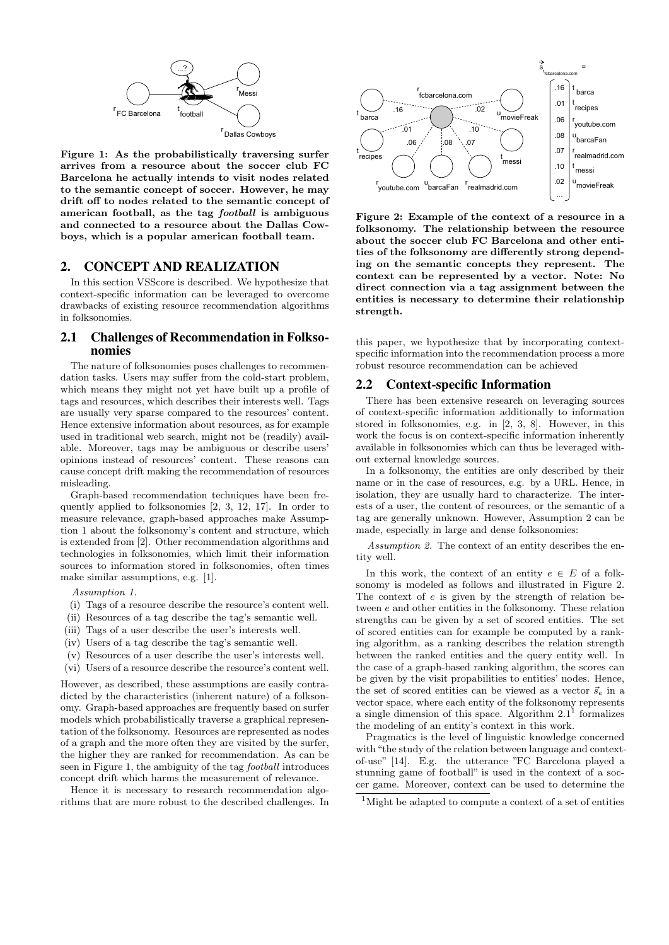

Figure 1: As the probabilistically traversing surfer arrives from a resource about the soccer club FC Barcelona he actually intends to visit nodes related to the semantic concept of soccer. However, he may drift off to nodes related to the semantic concept of american football, as the tag football is ambiguous and connected to a resource about the Dallas Cowboys, which is a popular american football team.

## 2. CONCEPT AND REALIZATION

In this section VSScore is described. We hypothesize that context-specific information can be leveraged to overcome drawbacks of existing resource recommendation algorithms in folksonomies.

# 2.1 Challenges of Recommendation in Folksonomies

The nature of folksonomies poses challenges to recommendation tasks. Users may suffer from the cold-start problem, which means they might not yet have built up a profile of tags and resources, which describes their interests well. Tags are usually very sparse compared to the resources' content. Hence extensive information about resources, as for example used in traditional web search, might not be (readily) available. Moreover, tags may be ambiguous or describe users' opinions instead of resources' content. These reasons can cause concept drift making the recommendation of resources misleading.

Graph-based recommendation techniques have been frequently applied to folksonomies [2, 3, 12, 17]. In order to measure relevance, graph-based approaches make Assumption 1 about the folksonomy's content and structure, which is extended from [2]. Other recommendation algorithms and technologies in folksonomies, which limit their information sources to information stored in folksonomies, often times make similar assumptions, e.g. [1].

Assumption 1.

- (i) Tags of a resource describe the resource's content well.
- (ii) Resources of a tag describe the tag's semantic well.
- (iii) Tags of a user describe the user's interests well.
- (iv) Users of a tag describe the tag's semantic well.
- (v) Resources of a user describe the user's interests well.
- (vi) Users of a resource describe the resource's content well.

However, as described, these assumptions are easily contradicted by the characteristics (inherent nature) of a folksonomy. Graph-based approaches are frequently based on surfer models which probabilistically traverse a graphical representation of the folksonomy. Resources are represented as nodes of a graph and the more often they are visited by the surfer, the higher they are ranked for recommendation. As can be seen in Figure 1, the ambiguity of the tag football introduces concept drift which harms the measurement of relevance.

Hence it is necessary to research recommendation algorithms that are more robust to the described challenges. In



Figure 2: Example of the context of a resource in a folksonomy. The relationship between the resource about the soccer club FC Barcelona and other entities of the folksonomy are differently strong depending on the semantic concepts they represent. The context can be represented by a vector. Note: No direct connection via a tag assignment between the entities is necessary to determine their relationship strength.

this paper, we hypothesize that by incorporating contextspecific information into the recommendation process a more robust resource recommendation can be achieved

#### 2.2 Context-specific Information

There has been extensive research on leveraging sources of context-specific information additionally to information stored in folksonomies, e.g. in [2, 3, 8]. However, in this work the focus is on context-specific information inherently available in folksonomies which can thus be leveraged without external knowledge sources.

In a folksonomy, the entities are only described by their name or in the case of resources, e.g. by a URL. Hence, in isolation, they are usually hard to characterize. The interests of a user, the content of resources, or the semantic of a tag are generally unknown. However, Assumption 2 can be made, especially in large and dense folksonomies:

Assumption 2. The context of an entity describes the entity well.

In this work, the context of an entity  $e \in E$  of a folksonomy is modeled as follows and illustrated in Figure 2. The context of e is given by the strength of relation between e and other entities in the folksonomy. These relation strengths can be given by a set of scored entities. The set of scored entities can for example be computed by a ranking algorithm, as a ranking describes the relation strength between the ranked entities and the query entity well. In the case of a graph-based ranking algorithm, the scores can be given by the visit propabilities to entities' nodes. Hence, the set of scored entities can be viewed as a vector  $\vec{s}_e$  in a vector space, where each entity of the folksonomy represents a single dimension of this space. Algorithm  $2.1<sup>1</sup>$  formalizes the modeling of an entity's context in this work.

Pragmatics is the level of linguistic knowledge concerned with "the study of the relation between language and contextof-use" [14]. E.g. the utterance "FC Barcelona played a stunning game of football" is used in the context of a soccer game. Moreover, context can be used to determine the

<sup>&</sup>lt;sup>1</sup>Might be adapted to compute a context of a set of entities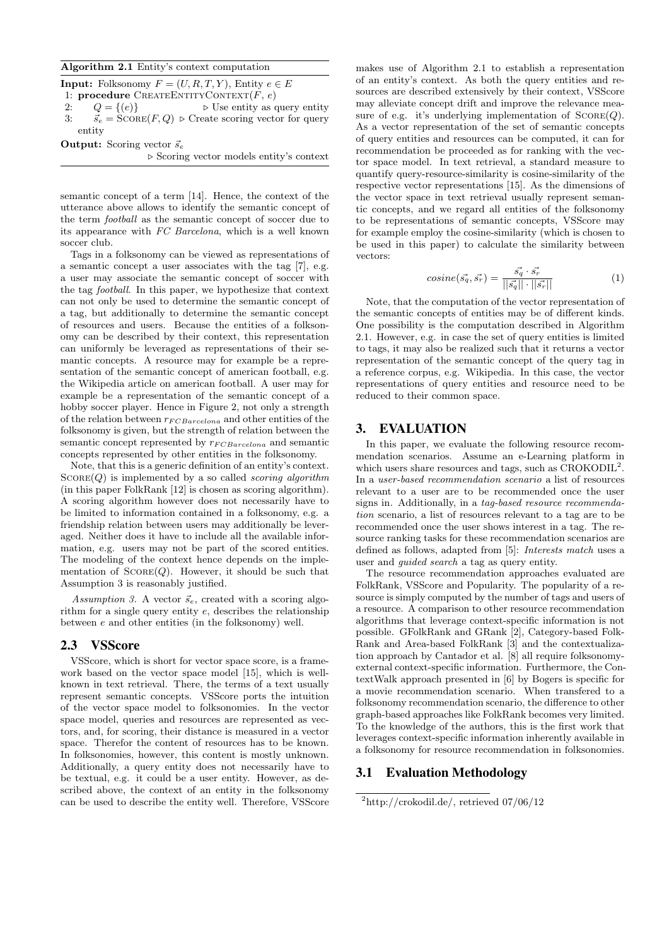| Algorithm 2.1 Entity's context computation |  |  |  |  |
|--------------------------------------------|--|--|--|--|
|--------------------------------------------|--|--|--|--|

**Input:** Folksonomy  $F = (U, R, T, Y)$ , Entity  $e \in E$ 1: **procedure** CREATEENTITYCONTEXT( $\vec{F}$ ,  $e$ )<br>2:  $Q = \{(e)\}\)$  b Use entity as c  $Q = \{(e)\}\$  b Use entity as query entity 3:  $\vec{s_e} = \text{SCORE}(F, Q)$   $\triangleright$  Create scoring vector for query entity

**Output:** Scoring vector  $\vec{s}_e$ 

 $\triangleright$  Scoring vector models entity's context

semantic concept of a term [14]. Hence, the context of the utterance above allows to identify the semantic concept of the term football as the semantic concept of soccer due to its appearance with FC Barcelona, which is a well known soccer club.

Tags in a folksonomy can be viewed as representations of a semantic concept a user associates with the tag [7], e.g. a user may associate the semantic concept of soccer with the tag football. In this paper, we hypothesize that context can not only be used to determine the semantic concept of a tag, but additionally to determine the semantic concept of resources and users. Because the entities of a folksonomy can be described by their context, this representation can uniformly be leveraged as representations of their semantic concepts. A resource may for example be a representation of the semantic concept of american football, e.g. the Wikipedia article on american football. A user may for example be a representation of the semantic concept of a hobby soccer player. Hence in Figure 2, not only a strength of the relation between  $r_{FCBarcelona}$  and other entities of the folksonomy is given, but the strength of relation between the semantic concept represented by  $r_{FCBarcelona}$  and semantic concepts represented by other entities in the folksonomy.

Note, that this is a generic definition of an entity's context.  $SCORE(Q)$  is implemented by a so called *scoring algorithm* (in this paper FolkRank [12] is chosen as scoring algorithm). A scoring algorithm however does not necessarily have to be limited to information contained in a folksonomy, e.g. a friendship relation between users may additionally be leveraged. Neither does it have to include all the available information, e.g. users may not be part of the scored entities. The modeling of the context hence depends on the implementation of  $S\text{CORE}(Q)$ . However, it should be such that Assumption 3 is reasonably justified.

Assumption 3. A vector  $\vec{s}_e$ , created with a scoring algorithm for a single query entity e, describes the relationship between e and other entities (in the folksonomy) well.

## 2.3 VSScore

VSScore, which is short for vector space score, is a framework based on the vector space model [15], which is wellknown in text retrieval. There, the terms of a text usually represent semantic concepts. VSScore ports the intuition of the vector space model to folksonomies. In the vector space model, queries and resources are represented as vectors, and, for scoring, their distance is measured in a vector space. Therefor the content of resources has to be known. In folksonomies, however, this content is mostly unknown. Additionally, a query entity does not necessarily have to be textual, e.g. it could be a user entity. However, as described above, the context of an entity in the folksonomy can be used to describe the entity well. Therefore, VSScore

makes use of Algorithm 2.1 to establish a representation of an entity's context. As both the query entities and resources are described extensively by their context, VSScore may alleviate concept drift and improve the relevance measure of e.g. it's underlying implementation of  $SCORE(Q)$ . As a vector representation of the set of semantic concepts of query entities and resources can be computed, it can for recommendation be proceeded as for ranking with the vector space model. In text retrieval, a standard measure to quantify query-resource-similarity is cosine-similarity of the respective vector representations [15]. As the dimensions of the vector space in text retrieval usually represent semantic concepts, and we regard all entities of the folksonomy to be representations of semantic concepts, VSScore may for example employ the cosine-similarity (which is chosen to be used in this paper) to calculate the similarity between vectors:

$$
cosine(\vec{s_q}, \vec{s_r}) = \frac{\vec{s_q} \cdot \vec{s_r}}{||\vec{s_q}|| \cdot ||\vec{s_r}||}
$$
(1)

Note, that the computation of the vector representation of the semantic concepts of entities may be of different kinds. One possibility is the computation described in Algorithm 2.1. However, e.g. in case the set of query entities is limited to tags, it may also be realized such that it returns a vector representation of the semantic concept of the query tag in a reference corpus, e.g. Wikipedia. In this case, the vector representations of query entities and resource need to be reduced to their common space.

## 3. EVALUATION

In this paper, we evaluate the following resource recommendation scenarios. Assume an e-Learning platform in which users share resources and tags, such as CROKODIL<sup>2</sup>. In a user-based recommendation scenario a list of resources relevant to a user are to be recommended once the user signs in. Additionally, in a tag-based resource recommendation scenario, a list of resources relevant to a tag are to be recommended once the user shows interest in a tag. The resource ranking tasks for these recommendation scenarios are defined as follows, adapted from [5]: Interests match uses a user and guided search a tag as query entity.

The resource recommendation approaches evaluated are FolkRank, VSScore and Popularity. The popularity of a resource is simply computed by the number of tags and users of a resource. A comparison to other resource recommendation algorithms that leverage context-specific information is not possible. GFolkRank and GRank [2], Category-based Folk-Rank and Area-based FolkRank [3] and the contextualization approach by Cantador et al. [8] all require folksonomyexternal context-specific information. Furthermore, the ContextWalk approach presented in [6] by Bogers is specific for a movie recommendation scenario. When transfered to a folksonomy recommendation scenario, the difference to other graph-based approaches like FolkRank becomes very limited. To the knowledge of the authors, this is the first work that leverages context-specific information inherently available in a folksonomy for resource recommendation in folksonomies.

#### 3.1 Evaluation Methodology

 $^{2}$ http://crokodil.de/, retrieved 07/06/12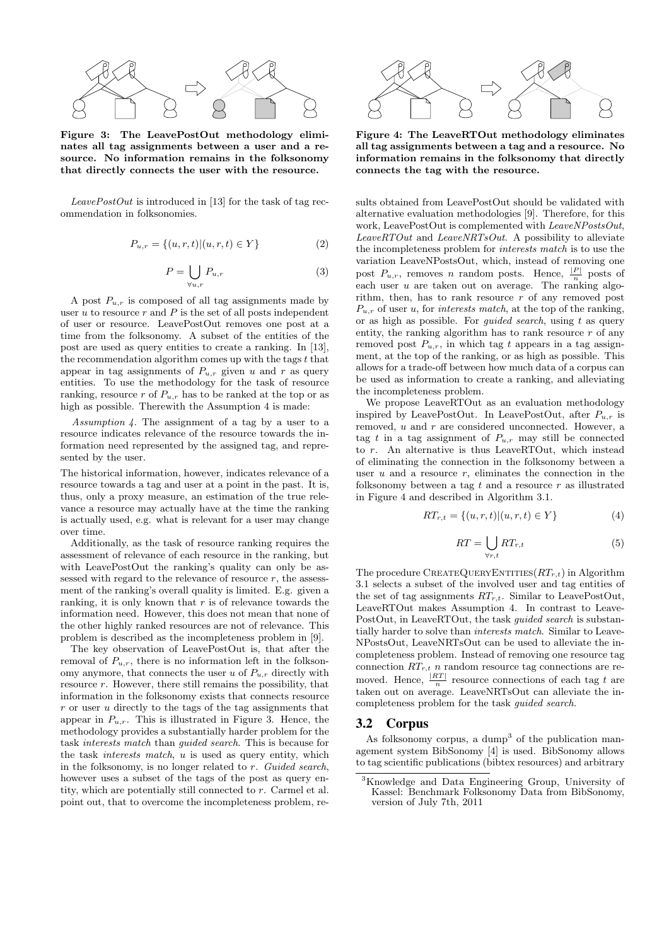

Figure 3: The LeavePostOut methodology eliminates all tag assignments between a user and a resource. No information remains in the folksonomy that directly connects the user with the resource.

 $LeavePostOut$  is introduced in [13] for the task of tag recommendation in folksonomies.

$$
P_{u,r} = \{(u,r,t)|(u,r,t) \in Y\}
$$
 (2)

$$
P = \bigcup_{\forall u,r} P_{u,r} \tag{3}
$$

A post  $P_{u,r}$  is composed of all tag assignments made by user  $u$  to resource  $r$  and  $P$  is the set of all posts independent of user or resource. LeavePostOut removes one post at a time from the folksonomy. A subset of the entities of the post are used as query entities to create a ranking. In [13], the recommendation algorithm comes up with the tags  $t$  that appear in tag assignments of  $P_{u,r}$  given u and r as query entities. To use the methodology for the task of resource ranking, resource r of  $P_{u,r}$  has to be ranked at the top or as high as possible. Therewith the Assumption 4 is made:

Assumption 4. The assignment of a tag by a user to a resource indicates relevance of the resource towards the information need represented by the assigned tag, and represented by the user.

The historical information, however, indicates relevance of a resource towards a tag and user at a point in the past. It is, thus, only a proxy measure, an estimation of the true relevance a resource may actually have at the time the ranking is actually used, e.g. what is relevant for a user may change over time.

Additionally, as the task of resource ranking requires the assessment of relevance of each resource in the ranking, but with LeavePostOut the ranking's quality can only be assessed with regard to the relevance of resource  $r$ , the assessment of the ranking's overall quality is limited. E.g. given a ranking, it is only known that  $r$  is of relevance towards the information need. However, this does not mean that none of the other highly ranked resources are not of relevance. This problem is described as the incompleteness problem in [9].

The key observation of LeavePostOut is, that after the removal of  $P_{u,r}$ , there is no information left in the folksonomy anymore, that connects the user u of  $P_{u,r}$  directly with resource  $r$ . However, there still remains the possibility, that information in the folksonomy exists that connects resource  $r$  or user  $u$  directly to the tags of the tag assignments that appear in  $P_{u,r}$ . This is illustrated in Figure 3. Hence, the methodology provides a substantially harder problem for the task interests match than guided search. This is because for the task interests match, u is used as query entity, which in the folksonomy, is no longer related to r. Guided search, however uses a subset of the tags of the post as query entity, which are potentially still connected to r. Carmel et al. point out, that to overcome the incompleteness problem, re-



Figure 4: The LeaveRTOut methodology eliminates all tag assignments between a tag and a resource. No information remains in the folksonomy that directly connects the tag with the resource.

sults obtained from LeavePostOut should be validated with alternative evaluation methodologies [9]. Therefore, for this work, LeavePostOut is complemented with LeaveNPostsOut, LeaveRTOut and LeaveNRTsOut. A possibility to alleviate the incompleteness problem for interests match is to use the variation LeaveNPostsOut, which, instead of removing one post  $P_{u,r}$ , removes *n* random posts. Hence,  $\frac{|P|}{n}$  posts of each user  $u$  are taken out on average. The ranking algorithm, then, has to rank resource  $r$  of any removed post  $P_{u,r}$  of user u, for *interests match*, at the top of the ranking, or as high as possible. For *guided search*, using  $t$  as query entity, the ranking algorithm has to rank resource  $r$  of any removed post  $P_{u,r}$ , in which tag t appears in a tag assignment, at the top of the ranking, or as high as possible. This allows for a trade-off between how much data of a corpus can be used as information to create a ranking, and alleviating the incompleteness problem.

We propose LeaveRTOut as an evaluation methodology inspired by LeavePostOut. In LeavePostOut, after  $P_{u,r}$  is removed,  $u$  and  $r$  are considered unconnected. However, a tag t in a tag assignment of  $P_{u,r}$  may still be connected to r. An alternative is thus LeaveRTOut, which instead of eliminating the connection in the folksonomy between a user  $u$  and a resource  $r$ , eliminates the connection in the folksonomy between a tag  $t$  and a resource  $r$  as illustrated in Figure 4 and described in Algorithm 3.1.

$$
RT_{r,t} = \{(u,r,t)|(u,r,t) \in Y\}
$$
 (4)

$$
RT = \bigcup_{\forall r, t} RT_{r,t} \tag{5}
$$

The procedure CREATEQUERYENTITIES $(RT_{r,t})$  in Algorithm 3.1 selects a subset of the involved user and tag entities of the set of tag assignments  $RT_{r,t}$ . Similar to LeavePostOut, LeaveRTOut makes Assumption 4. In contrast to Leave-PostOut, in LeaveRTOut, the task guided search is substantially harder to solve than *interests match*. Similar to Leave-NPostsOut, LeaveNRTsOut can be used to alleviate the incompleteness problem. Instead of removing one resource tag connection  $RT_{r,t}$  n random resource tag connections are removed. Hence,  $\frac{|RT|}{n}$  resource connections of each tag t are taken out on average. LeaveNRTsOut can alleviate the incompleteness problem for the task guided search.

#### 3.2 Corpus

As folksonomy corpus, a dump<sup>3</sup> of the publication management system BibSonomy [4] is used. BibSonomy allows to tag scientific publications (bibtex resources) and arbitrary

<sup>3</sup>Knowledge and Data Engineering Group, University of Kassel: Benchmark Folksonomy Data from BibSonomy, version of July 7th, 2011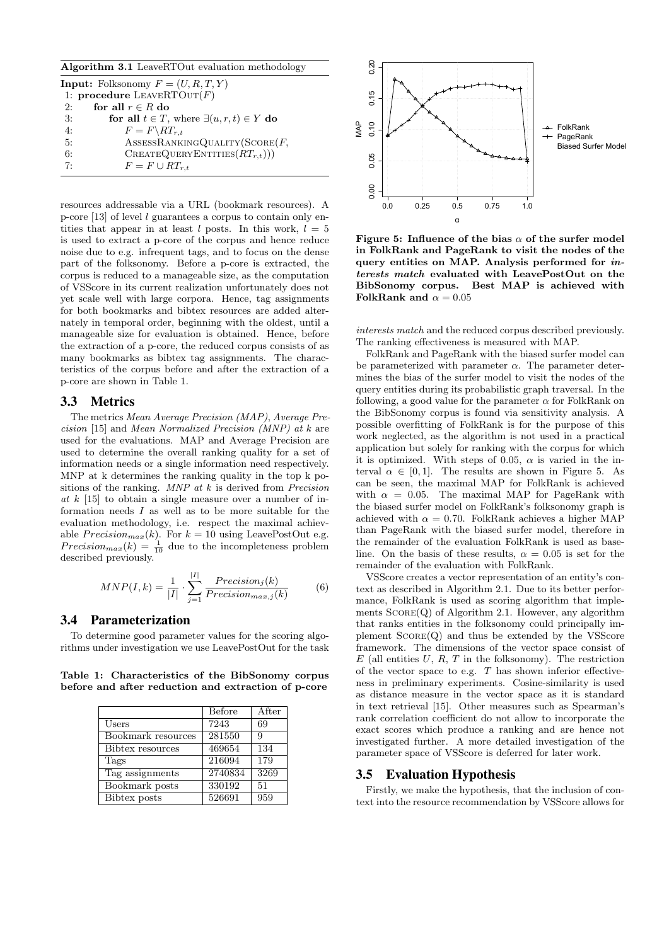Algorithm 3.1 LeaveRTOut evaluation methodology

|    | <b>Input:</b> Folksonomy $F = (U, R, T, Y)$            |
|----|--------------------------------------------------------|
|    | 1: procedure LEAVERTOUT $(F)$                          |
| 2: | for all $r \in R$ do                                   |
| 3: | for all $t \in T$ , where $\exists (u, r, t) \in Y$ do |
| 4: | $F = F \backslash RT_{r.t}$                            |
| 5: | $Assess$ RANKINGQUALITY(SCORE $(F,$                    |
| 6: | CREATEQUERYENTITIES $(RT_{r,t}))$                      |
| 7: | $F = F \cup RT_{r,t}$                                  |
|    |                                                        |

resources addressable via a URL (bookmark resources). A p-core [13] of level  $l$  guarantees a corpus to contain only entities that appear in at least l posts. In this work,  $l = 5$ is used to extract a p-core of the corpus and hence reduce noise due to e.g. infrequent tags, and to focus on the dense part of the folksonomy. Before a p-core is extracted, the corpus is reduced to a manageable size, as the computation of VSScore in its current realization unfortunately does not yet scale well with large corpora. Hence, tag assignments for both bookmarks and bibtex resources are added alternately in temporal order, beginning with the oldest, until a manageable size for evaluation is obtained. Hence, before the extraction of a p-core, the reduced corpus consists of as many bookmarks as bibtex tag assignments. The characteristics of the corpus before and after the extraction of a p-core are shown in Table 1.

## 3.3 Metrics

The metrics Mean Average Precision (MAP), Average Precision [15] and Mean Normalized Precision (MNP) at k are used for the evaluations. MAP and Average Precision are used to determine the overall ranking quality for a set of information needs or a single information need respectively. MNP at k determines the ranking quality in the top k positions of the ranking.  $MNP$  at k is derived from Precision at  $k$  [15] to obtain a single measure over a number of information needs  $I$  as well as to be more suitable for the evaluation methodology, i.e. respect the maximal achievable  $Precision_{max}(k)$ . For  $k = 10$  using LeavePostOut e.g.  $Precision_{max}(k) = \frac{1}{10}$  due to the incompleteness problem described previously.

$$
MNP(I,k) = \frac{1}{|I|} \cdot \sum_{j=1}^{|I|} \frac{Precision_j(k)}{Precision_{max,j}(k)}\tag{6}
$$

## 3.4 Parameterization

To determine good parameter values for the scoring algorithms under investigation we use LeavePostOut for the task

Table 1: Characteristics of the BibSonomy corpus before and after reduction and extraction of p-core

|                    | Before  | After |
|--------------------|---------|-------|
| Users              | 7243    | 69    |
| Bookmark resources | 281550  | 9     |
| Bibtex resources   | 469654  | 134   |
| Tags               | 216094  | 179   |
| Tag assignments    | 2740834 | 3269  |
| Bookmark posts     | 330192  | 51    |
| Bibtex posts       | 526691  | 959   |



Figure 5: Influence of the bias  $\alpha$  of the surfer model in FolkRank and PageRank to visit the nodes of the query entities on MAP. Analysis performed for interests match evaluated with LeavePostOut on the BibSonomy corpus. Best MAP is achieved with FolkRank and  $\alpha = 0.05$ 

interests match and the reduced corpus described previously. The ranking effectiveness is measured with MAP.

FolkRank and PageRank with the biased surfer model can be parameterized with parameter  $\alpha$ . The parameter determines the bias of the surfer model to visit the nodes of the query entities during its probabilistic graph traversal. In the following, a good value for the parameter  $\alpha$  for FolkRank on the BibSonomy corpus is found via sensitivity analysis. A possible overfitting of FolkRank is for the purpose of this work neglected, as the algorithm is not used in a practical application but solely for ranking with the corpus for which it is optimized. With steps of 0.05,  $\alpha$  is varied in the interval  $\alpha \in [0, 1]$ . The results are shown in Figure 5. As can be seen, the maximal MAP for FolkRank is achieved with  $\alpha = 0.05$ . The maximal MAP for PageRank with the biased surfer model on FolkRank's folksonomy graph is achieved with  $\alpha = 0.70$ . FolkRank achieves a higher MAP than PageRank with the biased surfer model, therefore in the remainder of the evaluation FolkRank is used as baseline. On the basis of these results,  $\alpha = 0.05$  is set for the remainder of the evaluation with FolkRank.

VSScore creates a vector representation of an entity's context as described in Algorithm 2.1. Due to its better performance, FolkRank is used as scoring algorithm that implements  $Score(Q)$  of Algorithm 2.1. However, any algorithm that ranks entities in the folksonomy could principally implement  $S\text{CORE}(Q)$  and thus be extended by the VSScore framework. The dimensions of the vector space consist of  $E$  (all entities  $U, R, T$  in the folksonomy). The restriction of the vector space to e.g.  $T$  has shown inferior effectiveness in preliminary experiments. Cosine-similarity is used as distance measure in the vector space as it is standard in text retrieval [15]. Other measures such as Spearman's rank correlation coefficient do not allow to incorporate the exact scores which produce a ranking and are hence not investigated further. A more detailed investigation of the parameter space of VSScore is deferred for later work.

#### 3.5 Evaluation Hypothesis

Firstly, we make the hypothesis, that the inclusion of context into the resource recommendation by VSScore allows for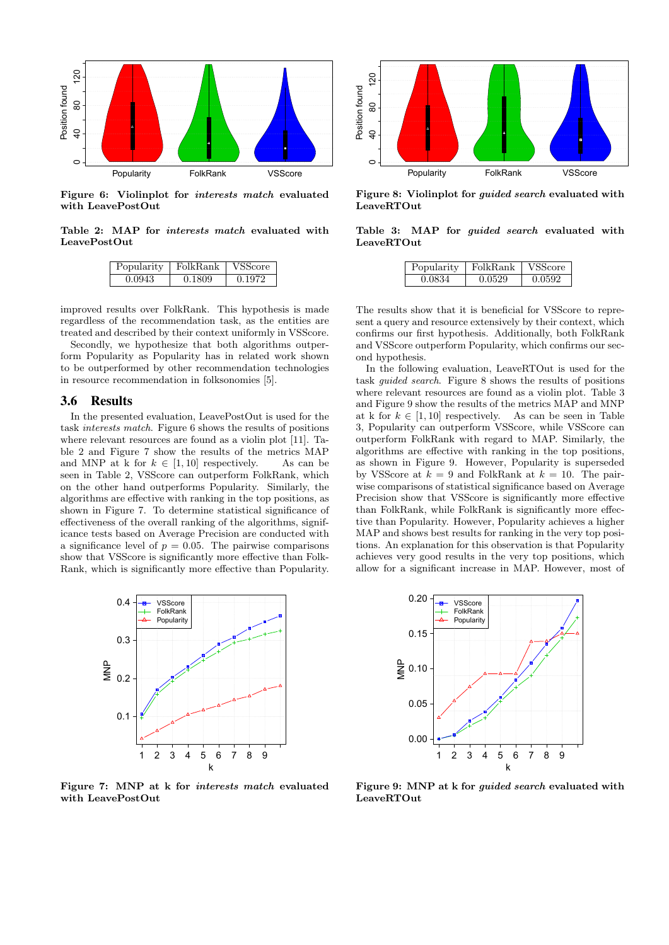![](_page_5_Figure_0.jpeg)

Figure 6: Violinplot for interests match evaluated with LeavePostOut

Table 2: MAP for interests match evaluated with LeavePostOut

| Popularity | FolkRank | V SSCOTE |
|------------|----------|----------|
| 0.0943     | 0.1809   | 0.1972   |

improved results over FolkRank. This hypothesis is made regardless of the recommendation task, as the entities are treated and described by their context uniformly in VSScore.

Secondly, we hypothesize that both algorithms outperform Popularity as Popularity has in related work shown to be outperformed by other recommendation technologies in resource recommendation in folksonomies [5].

#### 3.6 Results

In the presented evaluation, LeavePostOut is used for the task interests match. Figure 6 shows the results of positions where relevant resources are found as a violin plot [11]. Table 2 and Figure 7 show the results of the metrics MAP and MNP at k for  $k \in [1, 10]$  respectively. As can be seen in Table 2, VSScore can outperform FolkRank, which on the other hand outperforms Popularity. Similarly, the algorithms are effective with ranking in the top positions, as shown in Figure 7. To determine statistical significance of effectiveness of the overall ranking of the algorithms, significance tests based on Average Precision are conducted with a significance level of  $p = 0.05$ . The pairwise comparisons show that VSScore is significantly more effective than Folk-Rank, which is significantly more effective than Popularity.

![](_page_5_Figure_8.jpeg)

Figure 7: MNP at k for interests match evaluated with LeavePostOut

![](_page_5_Figure_10.jpeg)

Figure 8: Violinplot for guided search evaluated with LeaveRTOut

#### Table 3: MAP for guided search evaluated with LeaveRTOut

| Popularity | FolkBank | <b>VSScore</b> |
|------------|----------|----------------|
| በ በՋ34     | በ በ529   | በ በ592         |

The results show that it is beneficial for VSScore to represent a query and resource extensively by their context, which confirms our first hypothesis. Additionally, both FolkRank and VSScore outperform Popularity, which confirms our second hypothesis.

In the following evaluation, LeaveRTOut is used for the task guided search. Figure 8 shows the results of positions where relevant resources are found as a violin plot. Table 3 and Figure 9 show the results of the metrics MAP and MNP at k for  $k \in [1, 10]$  respectively. As can be seen in Table 3, Popularity can outperform VSScore, while VSScore can outperform FolkRank with regard to MAP. Similarly, the algorithms are effective with ranking in the top positions, as shown in Figure 9. However, Popularity is superseded by VSScore at  $k = 9$  and FolkRank at  $k = 10$ . The pairwise comparisons of statistical significance based on Average Precision show that VSScore is significantly more effective than FolkRank, while FolkRank is significantly more effective than Popularity. However, Popularity achieves a higher MAP and shows best results for ranking in the very top positions. An explanation for this observation is that Popularity achieves very good results in the very top positions, which allow for a significant increase in MAP. However, most of

![](_page_5_Figure_16.jpeg)

Figure 9: MNP at k for *guided search* evaluated with LeaveRTOut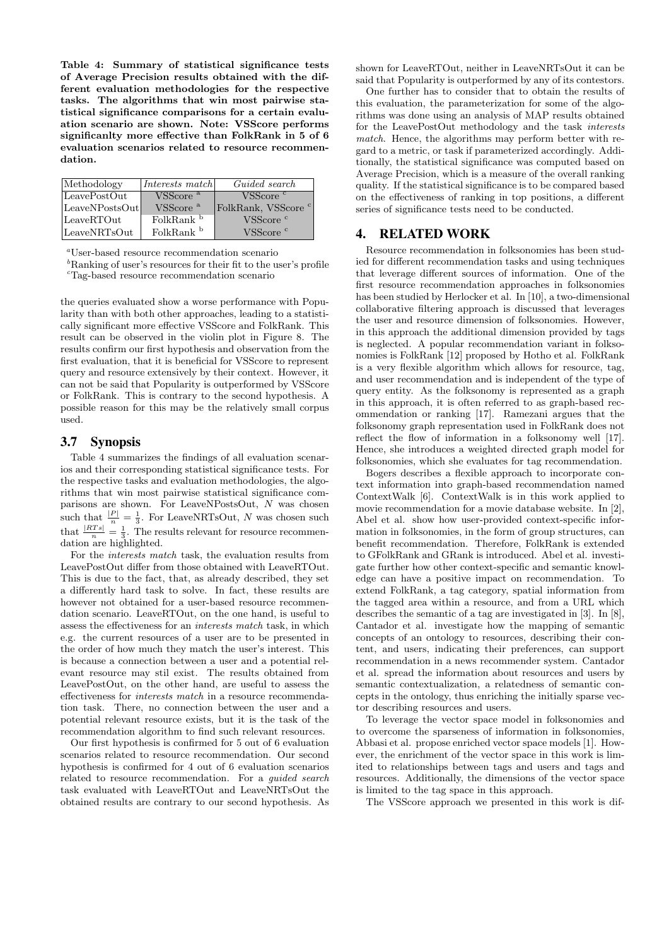Table 4: Summary of statistical significance tests of Average Precision results obtained with the different evaluation methodologies for the respective tasks. The algorithms that win most pairwise statistical significance comparisons for a certain evaluation scenario are shown. Note: VSScore performs significanlty more effective than FolkRank in 5 of 6 evaluation scenarios related to resource recommendation.

| Methodology    | Interests match       | Guided search                  |
|----------------|-----------------------|--------------------------------|
| LeavePostOut   | VSScore <sup>a</sup>  | VSScore <sup>c</sup>           |
| LeaveNPostsOut | VSScore <sup>a</sup>  | FolkRank, VSScore <sup>c</sup> |
| LeaveRTOut     | FolkRank <sup>b</sup> | VSScore <sup>c</sup>           |
| LeaveNRTsOut   | FolkRank <sup>b</sup> | VSScore <sup>c</sup>           |

<sup>a</sup>User-based resource recommendation scenario

 ${}^{b}$ Ranking of user's resources for their fit to the user's profile <sup>c</sup>Tag-based resource recommendation scenario

the queries evaluated show a worse performance with Popularity than with both other approaches, leading to a statistically significant more effective VSScore and FolkRank. This result can be observed in the violin plot in Figure 8. The results confirm our first hypothesis and observation from the first evaluation, that it is beneficial for VSScore to represent query and resource extensively by their context. However, it can not be said that Popularity is outperformed by VSScore or FolkRank. This is contrary to the second hypothesis. A possible reason for this may be the relatively small corpus used.

## 3.7 Synopsis

Table 4 summarizes the findings of all evaluation scenarios and their corresponding statistical significance tests. For the respective tasks and evaluation methodologies, the algorithms that win most pairwise statistical significance comparisons are shown. For LeaveNPostsOut, N was chosen such that  $\frac{|P|}{n} = \frac{1}{3}$ . For LeaveNRTsOut, N was chosen such that  $\frac{|RTs|}{n} = \frac{1}{3}$ . The results relevant for resource recommendation are highlighted.

For the interests match task, the evaluation results from LeavePostOut differ from those obtained with LeaveRTOut. This is due to the fact, that, as already described, they set a differently hard task to solve. In fact, these results are however not obtained for a user-based resource recommendation scenario. LeaveRTOut, on the one hand, is useful to assess the effectiveness for an interests match task, in which e.g. the current resources of a user are to be presented in the order of how much they match the user's interest. This is because a connection between a user and a potential relevant resource may stil exist. The results obtained from LeavePostOut, on the other hand, are useful to assess the effectiveness for interests match in a resource recommendation task. There, no connection between the user and a potential relevant resource exists, but it is the task of the recommendation algorithm to find such relevant resources.

Our first hypothesis is confirmed for 5 out of 6 evaluation scenarios related to resource recommendation. Our second hypothesis is confirmed for 4 out of 6 evaluation scenarios related to resource recommendation. For a guided search task evaluated with LeaveRTOut and LeaveNRTsOut the obtained results are contrary to our second hypothesis. As

shown for LeaveRTOut, neither in LeaveNRTsOut it can be said that Popularity is outperformed by any of its contestors.

One further has to consider that to obtain the results of this evaluation, the parameterization for some of the algorithms was done using an analysis of MAP results obtained for the LeavePostOut methodology and the task interests match. Hence, the algorithms may perform better with regard to a metric, or task if parameterized accordingly. Additionally, the statistical significance was computed based on Average Precision, which is a measure of the overall ranking quality. If the statistical significance is to be compared based on the effectiveness of ranking in top positions, a different series of significance tests need to be conducted.

# 4. RELATED WORK

Resource recommendation in folksonomies has been studied for different recommendation tasks and using techniques that leverage different sources of information. One of the first resource recommendation approaches in folksonomies has been studied by Herlocker et al. In [10], a two-dimensional collaborative filtering approach is discussed that leverages the user and resource dimension of folksonomies. However, in this approach the additional dimension provided by tags is neglected. A popular recommendation variant in folksonomies is FolkRank [12] proposed by Hotho et al. FolkRank is a very flexible algorithm which allows for resource, tag, and user recommendation and is independent of the type of query entity. As the folksonomy is represented as a graph in this approach, it is often referred to as graph-based recommendation or ranking [17]. Ramezani argues that the folksonomy graph representation used in FolkRank does not reflect the flow of information in a folksonomy well [17]. Hence, she introduces a weighted directed graph model for folksonomies, which she evaluates for tag recommendation.

Bogers describes a flexible approach to incorporate context information into graph-based recommendation named ContextWalk [6]. ContextWalk is in this work applied to movie recommendation for a movie database website. In [2], Abel et al. show how user-provided context-specific information in folksonomies, in the form of group structures, can benefit recommendation. Therefore, FolkRank is extended to GFolkRank and GRank is introduced. Abel et al. investigate further how other context-specific and semantic knowledge can have a positive impact on recommendation. To extend FolkRank, a tag category, spatial information from the tagged area within a resource, and from a URL which describes the semantic of a tag are investigated in [3]. In [8], Cantador et al. investigate how the mapping of semantic concepts of an ontology to resources, describing their content, and users, indicating their preferences, can support recommendation in a news recommender system. Cantador et al. spread the information about resources and users by semantic contextualization, a relatedness of semantic concepts in the ontology, thus enriching the initially sparse vector describing resources and users.

To leverage the vector space model in folksonomies and to overcome the sparseness of information in folksonomies, Abbasi et al. propose enriched vector space models [1]. However, the enrichment of the vector space in this work is limited to relationships between tags and users and tags and resources. Additionally, the dimensions of the vector space is limited to the tag space in this approach.

The VSScore approach we presented in this work is dif-